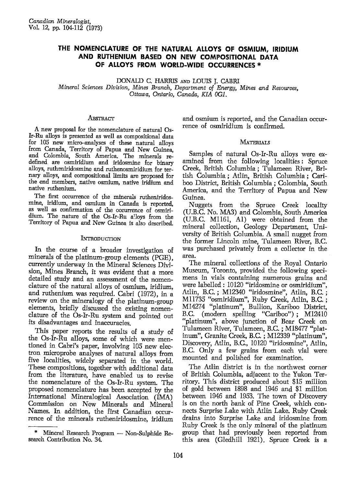# THE NOMENCLATURE OF THE NATURAL ALLOYS OF OSMIUM, IRIDIUM AND RUTHENIUM BASED ON NEW COMPOSITIONAL DATA OF ALLOYS FROM WORLD-WIDE OCCURRENCES \*

DONALD C. HARRIS AND LOUIS J. CABRI Mineral Sciences Division, Mines Branch, Department of Energy, Mines and Resources, Ottawa, Ontario, Canada, KIA 0G1.

### **ABSTRACT**

A new proposal for the nomenclature of natural Os-Ir-Ru alloys is presented as well as compositional data for 105 new micro-analyses of these natural alloys from Canada, Territory of Papua and New Guinea, and Colombia, South America. The minerals redefined are osmiridium and iridosmine for binary alioys, rutheniridosmine and mthenosmiridium for ternary alloys, and compositional limits are proposed for the end members, native osmium, native iridium and native ruthenium.

The first occurrence of the minerals rutheniridosmine, iridium, and osmium in Canada is reported, as well as confirmation of the occurrence of osmiridium. The nature of the Os-Ir-Ru alloys from the Territory of Papua and New Guinea is also described.

### INTRODUCTION

In the course of a broader investigation of minerals of the platinum-group elements (PGE), currently underway in the Mineral Sciences Division, Mines Branch, it was evident that a more detailed study and an assessment of the nomenclature of the natural alloys of osmium, iridium, and ruthenium was required. Cabri (1972), in a review on the mineralogy of the platinum-group elements, briefly discussed the existing nomenclature of the Os-Ir-Ru system and pointed out its disadvantages and inaccuracies.

this paper reports the results of a study of<br>the Os-Ir-Ru alloys, some of which were men-This paper reports the results of a study of tioned in Cabri's paper, involving 105 new electron microprobe analyses of natural alloys from five localities, widely separated in the world. These compositions, together with additional data from the literaturg have enabled us to revise the nomenclature of the Os-Ir-Ru system. The proposed nomenclatwe has been accepted by the International Mineralogical Association (IMA) Commission on New Minerals and Mineral Names. In addition, the first Canadian occurrence of the minerals rutheniridosmine. iridium

and osmium is reported, and the Canadian occurrence of osmiridium is confirmed.

## **MATERIALS**

Samples of natural Os-Ir-Ru alloys were examined from the following localities: Spruce Creek, British Columbia; Tulameen River, British Columbia; Atlin, British Columbia; Cariboo District, British Columbia; Colombia, South America, and the Territory of Papua and New Guinea.

Nuggets from the Spruce Creek locality (U.B.C. No. MA3) and Colombia, South America (U.B.C. M1161, Al) were obtained from the mineral collection, Geology Department, University of British Columbia. A small nugget from the former Lincoln ming Tulameen River, B.C. was purchased privately from a collector in the area.

The mineral collections of the Royal Ontario Museum, Toronto, provided the following specimens in vials containing numerous grains and were labelled: 10120 "iridosmine or osmiridium", Atlin, B.C.; M12340 "iridosmine", Atlin, B.C.; M11735 "osmiridium", Ruby Creek, Atlin, B.C.; M14274 "platinum", Bullion, Kariboo District, B.C. (modern spelling "Cariboo") ; M12410<br>"platinum", above junction of Bear Creek on Tulameen River, Tulameen, B.C.; M18477 "platinum", Granite Creek, B.C. ; M12339 "platinum", Discovery, Atlin, B.C., 10120 "iridosmine", Atlin, B.C. Only a few grains from each vial were mounted and polished for examination.

The Atlin district is in the northwest corner of British Columbia, adjacent to the Yukon Territory. This district produced about \$15 million of gold between 1898 and 1946 and \$1 million between 1946 and 1953. The town of Discovery is on the north bank of Pine Creek, which connects Surprise Lake with Atlin Lake. Ruby Creek drains into Surprise Lake and iridosmine from Ruby Creek is the only mineral of the platinum group that had previously been reported from this area (Gledhill 1921). Spruce Creek is a

<sup>\*</sup> Mineral Research Program - Non-Sulphide Research Contribution No. 34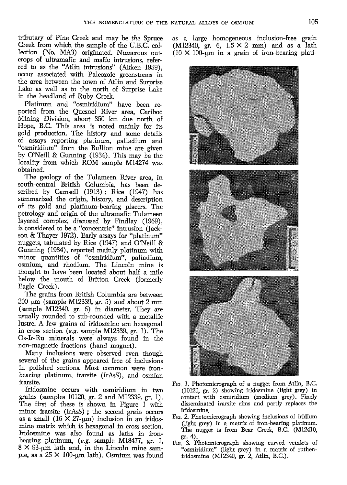tributary of Pine Creek and may be the Spruce Creek from which the sample of the U.B.C. collection (No. MA3) originated. Numerous outcrops of ultramafic and mafic intrusions, referred to as fhe "Atlin intrusions" (Aitken 1959), occur associated with Paleozoic greenstones in the area between the town of Atlin and Surprise Lake as well as to the north of Surprise Lake in the headland of Ruby Creek.

Platinum and "osmiridium" have been reported from the Quesnel River area, Cariboo Mining Division, about 350 km due north of Hope, B.C. This area is noted mainly for its gold production. The history and some details of assays reporting platinum, palladium and "osmiridium" from the Bullion mine are given by O'Neill & Gunning (1934). This may be the locality from which ROM sample M14274 was obtained.

The geologr of the Tulameen River area, in south-central British Columbia, has been de. scribed by Camsell (1913) ; Rice (1947) has summarized the origin, history, and description of its gold and platinum-bearing placers. The petrology and origin of the ultramafic Tulameen layered complex, discussed by Findlay (1969), is considered to be a "concentric" intrusion (Jackson & Thayer 1972). Early assays for "platinum" nuggets, tabulated by Rice (1947) and O'Neill & Gunning (1934), reported mainly platinum with minor quantities of "osmiridium", palladium, osmium, and rhodium. The Lincoln mine is thought to have been located about half a mile below the mouth of Britton Creek (formerly Eagle Creek).

The grains from British Columbia are between  $200 \mu m$  (sample M12339, gr. 5) and about 2 mm (sample M12340, gr. 6) in diameter. They are usually rounded to sub-rounded with a metallic lustre. A few grains of iridosmine are hexagonal in cross section (e.g. sample M12339, gr. 1). The Os-Ir-Ru minerals were always found in the non-magnetic fractions (hand magnet).

Many inclusions were observed even though several of the grains appeared free of inclusions in polished sections. Most common were ironbearing platinum, irarsite (IrAsS), and osmian irarsite.

Iridosmine occurs with osmiridium in two grains (samples 10120, gr. 2 and M12339, gr. 1). The first of these is shown in Figure I with minor irarsite  $(IrAsS)$ ; the second grain occurs as a small  $(16 \times 27$ -µm) inclusion in an iridosmine matrix which is hexagonal in cross section. Iridosmine was also found as laths in ironbearing platinum,  $(e.g.$  sample M18477, gr. I,  $8 \times 93$ -um lath and, in the Lincoln mine sample, as a  $25 \times 100$ -um lath). Osmium was found

as a large homogeneous inclusion-free grain (M12340, gr. 6,  $1.5 \times 2$  mm) and as a lath ( $10 \times 100$ -µm in a grain of iron-bearing plati-



- Frc. L Photomicrograph of a nugget from Atlin, B.C. (10120, gr. 2) showing iridosmine (light grey) in contact with osmiridium (medium grey). Finely disseminated irarsite rims and partly replaces the iridosmine.
- Frc. 2. Photomicrograph showing inclusions of iridium (light grey) in a matrix of iron-bearing platinum. The nugget is from Bear Creek, B.C. (M12410,
- gr. 4).<br>Fig. 3. Photomicrograph showing curved veinlets of "osmiridium" (light grey) in a matrix of rutheniridosmine (M12340, gr. 2, Atlin, B.C.).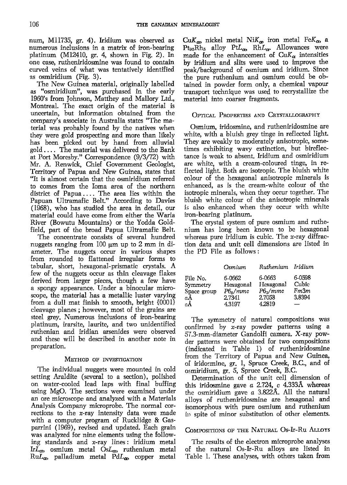num, M11735, gr. 4). Iridium was observed as numerous inclusions in a matrix of iron-bearing platinum (M12410, gr. 4, shown in Fig. 2). In one case, rutheniridosmine was found to contain curved veins of what was tentatively identified as osmiridium (Fig. 3).

The New Guinea material, originally labelled as 'oosmiridium", was purchased in the early 1960's from Johnson, Matthey and Mallory Ltd., Montreal. The exact origin of the material is uncertain, but information obtained from the company's associate in Australia states "The material was probably found by the natives when they were gold prospecting and more than likely has been picked out by hand from alluvial gold. . . . The material was delivered to the Bank at Port Moresby." Correspondence (9/3/72) with Mr. A. Renwick, Chief Government Geologist, Territory of Papua and New Guinea, states that "It is almost certain that the osmiridium referred to comes from the Ioma area of the northern district of Papua.... The area lies within the Papuaa Ultramafic Belt." According to Davies  $(1968)$ , who has studied the area in detail, our material could have come from either the Waria River (Bowutu Mountains) or the Yodda Goldfield, part of the broad Papua Ultramafic Belt.

The concentrate consists of several hundred nuggets ranging from 100  $\mu$ m up to 2 mm in diameter. The nuggets occur in various shapes from rounded to flattened irregular forms to tabular, short, hexagonal-prismatic crystals. A few of the nuggets occur as thin cleavage flakes derived from larger pieces, though a few have a spongy appearance. Under a binocular microscope, the material has a metallic luster varying from a dull mat finish to smooth, bright {0001} cleavage planes; however, most of the grains are steel grey. Numerous inclusions of iron-bearing platinum, irarsite, laurite, and two unidentified ruthenian and iridian arsenides were observed and these will be described in another note in preparation.

## METHOD OF INVESTIGATION

The individual nuggets were mounted in cold setting Araldite (several to a section), polished on water-cooled lead laps with final buffing using MgO. The sections were examined under an ore microscope and analyzed with a Materials Analysis Company microprobe. The normal corrections to the x-ray intensity data were made with a computer program of Rucklidge & Gasparrini (1969), revised and updated. Each grain was analyzed for nine elements using the following standards and  $x$ -ray lines: iridium metal Ir $L_{\boldsymbol{\alpha}}$ , osmium metal Os $L_{\boldsymbol{\alpha}}$ , ruthenium metal Ru $L_{\boldsymbol{\alpha}}$ , palladium metal Pd $L_{\boldsymbol{\alpha}}$ , copper metal

 $\text{Cu}K_{\alpha}$ , nickel metal Ni $K_{\alpha}$ , iron metal Fe $K_{\alpha}$ , a  $Pt_{95}Rh_5$  alloy  $PtL_{\alpha}$ ,  $RhL_{\alpha}$ . Allowances were made for the enhancement of  $CuK_{\alpha}$  intensities by iridium and slits were used to improve the peak/ba&ground of osmium and iridium. Since the pure ruthenium and osmium could be obtained in powder form only, a chemical vapow transport technique was used to recrystallize the material into coarser fragments.

# OPTICAL PROPERTIES AND CRYSTALLOGRAPHY

Osmium, iridosmine, and rutheniridosmine are white, with a bluish grey tinge in reflected light. They are weakly to moderately anisotropic, sometimes exhibiting wavy extinction, but bireflectance is weak to absent. Iridium and osmiridium are white, with a cream-coloured tinge, in reflected light. Both are isotropic. The bluish white colour of the hexagonal anisotropic minerals is enhanced, as is the cream-white colour of the isotropic minerals, when they occur together. The bluish white colour of the anisotropic minerals is also enhanced when they occur with white iron-bearing platinum.

The crystal system of pure osmium and ruthe' nium has long been known to be hexagonal whereas pure iridium is cubic. The x-ray diffraction data and unit cell dimensions are listed in the  $PD$  File as follows:

|             | Osmium           | Ruthenium Iridium |                 |
|-------------|------------------|-------------------|-----------------|
| File No.    | 6-0662           | 6-0663            | 6-0598<br>Cubic |
| Symmetry    | Hexagonal        | Hexagonal         | Fm3m            |
| Space group | $P6_{\rm s}/mmc$ | $P6_2/mmc$        |                 |
| aÅ          | 2.7341           | 2.7058            | 3.8394          |
| сÅ          | 4.3197           | 4.2819            |                 |

The symmetry of natural compositions was confirmed by x-ray powder patterns using a 5'1.3-mm-diameter Gandolfi camera. X-ray powder patterns were obtained for two compositions (indicated in Table 1) of rutheniridosmine from the Territory of Papua and New Guinea, of iridosmine, 8r. 1, Spruce Creek, 8.C., and of osmiridium, gr. 5, Spruce Creek, B.C.

Determination of the unit cell dimension of this iridosmine gave  $a$  2.724,  $c$  4.333Å whereas the osmiridium gave  $a$  3.822Å. All the natural alloys of rutheniridosmine are hexagonal and isomorphous with pure osmium and ruthenium in spite of minor substitution of other elements.

# COMPOSITIONS OF THE NATURAL Os-Ir-Ru ALLOYS

The results of the electron microprobe analyses of the natural Os-Ir-Ru alloys are listed in Table 1. These analyses, with others taken from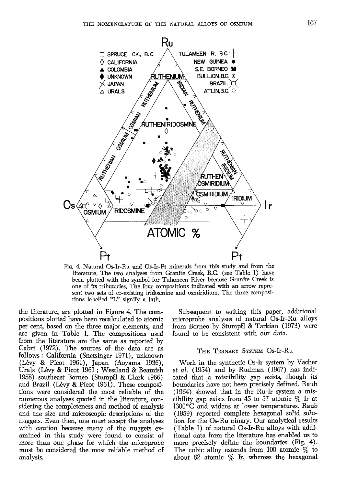

Frc. 4. Natural Os-Ir-Ru and Os-Ir-Pt minerals from this study and from the literature. The two analyses from Granite Creek, B.C. (see Table 1) have been plotted with the symbol for Tulameen River because Granite Creek is one of its tributaries. The four compositions indicated with an arrow represent two sets of co-existing iridosmine and osmiridium. The three compositions labelled "L" signify a lath.

the literatwe, are plotted in Figure 4. The compositions plotted have been recalculated to atomic per cent, based on the three major elements, and are given in Table 1. The compositions used from the literature are the same as reported by Cabri (1972). The sources of the data are as follows : California (Snetsinger 1971), unknown (L6vy & Picot 1961), Japan (Aoyama 1936), Urals (Lévy & Picot 1961; Westland & Beamish 1958) southeast Bomeo (Stumpfl & Clark 1966) and Brazil (Lévy & Picot 1961). These compositions were considered the most reliable of the numerous analyses quoted in the literature, considering the completeness and method of analysis and the size and microscopic descriptions of the nuggets. Even then, one must accept the analyses with caution because many of the nuggets examined in this study were found to consist of more than one phase for which the microprobe must be considered the most reliable method of analysis.

Subsequent to writing this paper, additional microprobe analyses of natural Os-Ir-Ru alloys from Borneo by Stumpfl & Tarkian (1973) were found to be consistent with our data.

#### THE TERNARY SYSTEM OS-Ir-Ru

Work in the synthetic Os-Ir system by Vacher et al. (1954) and by Rudman (1967) has indicated that a miscibility gap exists, though its boundaries have not been precisely defined. Raub  $(1964)$  showed that in the Ru-Ir system a miscibility gap exists from 45 to 57 atomic  $\%$  Ir at  $1300\textdegree C$  and widens at lower temperatures. Raub (1959) reported complete hexagonal solid solution for the Os-Ru binary. Our analytical results (Table 1) of natural Os-Ir-Ru alloys with additional data from the literature has enabled us to more precisely define the boundaries (Fig. 4). The cubic alloy extends from 100 atomic  $\%$  to about 62 atomic  $\%$  Ir, whereas the hexagonal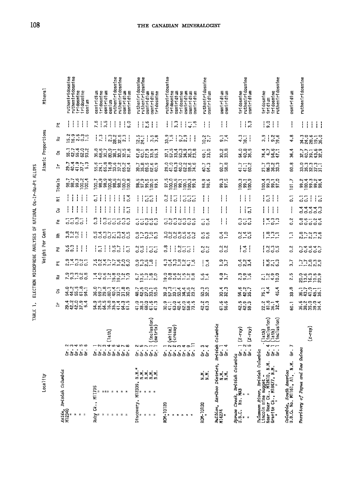|                                                            | Minera <sub>1</sub> |                    | rutheniridosmine<br>rutheniridosmine<br>iridosmine<br>iridosmine<br>osmium                                                                                                                                                                                                                                          | rutheniridosmine<br>osmiridium<br>osmiridium<br>rutheniridosmine<br>osmiridium<br>iridosmine<br>osmiridium<br>osmium         | rutheniridosmine<br>rutheniridosmine<br>osmfridium<br>osmfridium<br>iridosmine                                                                                                                                                                                                                                      | rutheniridosmine<br>iridosmine<br>osmiridium<br>tridosmine<br>osmiridium<br>osmiridium<br>osmiridium | ruthen1ridosmine<br>osmiridium | osmiridium<br>osmiridium                                  | rutheniridosmine<br>osmiridium<br>iridosmine                                                       | iridosmine<br>rutheniridosmine<br>iridosmine<br>iridium                                                                                                                                                                                                                                                             | osmiridium                                            | rutheniridosmine                          |
|------------------------------------------------------------|---------------------|--------------------|---------------------------------------------------------------------------------------------------------------------------------------------------------------------------------------------------------------------------------------------------------------------------------------------------------------------|------------------------------------------------------------------------------------------------------------------------------|---------------------------------------------------------------------------------------------------------------------------------------------------------------------------------------------------------------------------------------------------------------------------------------------------------------------|------------------------------------------------------------------------------------------------------|--------------------------------|-----------------------------------------------------------|----------------------------------------------------------------------------------------------------|---------------------------------------------------------------------------------------------------------------------------------------------------------------------------------------------------------------------------------------------------------------------------------------------------------------------|-------------------------------------------------------|-------------------------------------------|
|                                                            |                     | $\tilde{r}$        | ł<br>$\frac{1}{4}$<br>$\frac{1}{2}$<br>抖                                                                                                                                                                                                                                                                            | 7.15<br>$\frac{1}{1}$<br>$\mathbf{I}$<br>$\frac{1}{6}$<br>ł                                                                  | $\frac{6}{8}$    <br>Ħ                                                                                                                                                                                                                                                                                              | $\frac{1}{1}$<br>3.3<br>$-1.6$<br>ł<br>÷                                                             | Ħ                              | $\mathbf{H}$                                              | 3.3<br>I<br>ł                                                                                      | $\frac{1}{2}$<br>$\left  \cdot \right $                                                                                                                                                                                                                                                                             | ļ                                                     | $\mathbf{ii}$<br>Ť                        |
|                                                            | Atomic Proportions  | 콙                  | $\frac{2}{5}$ $\frac{3}{5}$ $\frac{5}{5}$ $\frac{5}{5}$ $\frac{3}{5}$ $\frac{5}{5}$ $\frac{3}{5}$ $\frac{5}{5}$ $\frac{3}{5}$ $\frac{5}{5}$ $\frac{3}{5}$ $\frac{5}{5}$ $\frac{3}{5}$ $\frac{5}{5}$ $\frac{3}{5}$ $\frac{5}{5}$ $\frac{3}{5}$ $\frac{5}{5}$ $\frac{3}{5}$ $\frac{5}{5}$ $\frac{3}{5}$ $\frac{5}{5}$ | $\frac{1}{2}$<br>22502                                                                                                       | $\frac{12.5}{24.1}$<br>$\frac{1}{1}$ in 8                                                                                                                                                                                                                                                                           | $3 - 5$<br>9.7<br>Ť<br>Í                                                                             | 2.7                            | 7.4                                                       | $\frac{3}{18}$                                                                                     | 3.9<br>3.6                                                                                                                                                                                                                                                                                                          | 4.8                                                   | nasa-a<br>****                            |
|                                                            |                     | ర                  | いいすいところ おおお                                                                                                                                                                                                                                                                                                         | serioristica<br>Sesseria                                                                                                     | ariana<br>Seban                                                                                                                                                                                                                                                                                                     | rindunung<br>PERBRASI                                                                                | ្ម<br>ទូន                      | 33.8                                                      | ុន<br>វិទ្ធិនិ                                                                                     | はんこうけん                                                                                                                                                                                                                                                                                                              | 34.4                                                  | ファー 9.9<br>2013 22                        |
|                                                            |                     | ᅼ                  | 24435                                                                                                                                                                                                                                                                                                               | $5.788999994$                                                                                                                | <b>いっ</b><br>あおのの中                                                                                                                                                                                                                                                                                                  | onnonno<br>8484882                                                                                   | 40.7                           | 60.7<br>58.8                                              | $41.7$<br>$41.2$                                                                                   | rana<br>Rasa                                                                                                                                                                                                                                                                                                        | 60.8                                                  | onnn-<br>Baaba                            |
|                                                            |                     | Tota <sub>ls</sub> | essen<br>Sessen                                                                                                                                                                                                                                                                                                     |                                                                                                                              | noncu.<br>Saaga                                                                                                                                                                                                                                                                                                     |                                                                                                      | 98.6<br>98.                    | 90.5<br>91.5                                              | es<br>Sagi                                                                                         | ្មី ពុំ - - -<br>ទី និន និ                                                                                                                                                                                                                                                                                          | 101.7                                                 | ្ម<br>ពុក្ខពុទ្ធ<br>ពុក្ខពុទ្ធ            |
|                                                            |                     | Ξ                  | $\frac{1}{1}$<br>Ħ                                                                                                                                                                                                                                                                                                  | ļ<br>$\mathbf{I}$<br>$\mathbf{i}$<br>ł<br>0.4<br>5                                                                           | $\frac{1}{1}$<br>331                                                                                                                                                                                                                                                                                                | $\frac{3!}{ }$<br>$\overline{0}$<br>$\frac{1}{1}$<br>7.77                                            | Ħ                              | $\vert \ \vert$                                           | $\frac{1}{2}$<br>ł                                                                                 | $\mathbb{H}$<br>Ιā                                                                                                                                                                                                                                                                                                  | $\overline{0}$                                        | 115<br>33                                 |
|                                                            |                     | 3                  | ł<br>$\cdot$<br>ł<br>ţ                                                                                                                                                                                                                                                                                              | ł<br>ł<br>ļ<br>$\mathbf{I}$<br>$\frac{1}{2}$<br>$\overline{a}$<br>ł                                                          | ł<br>ł<br>ł<br>$\frac{1}{2}$                                                                                                                                                                                                                                                                                        | Ħ<br>ł<br>ł<br>ł<br>$\pm$                                                                            | Ħ                              | $\lceil$                                                  | ł<br>$\overline{0}$ .                                                                              | $\frac{1}{4}$<br>$\left\{ \right.$                                                                                                                                                                                                                                                                                  | $\frac{1}{1}$                                         | 111111                                    |
|                                                            |                     | 꾠                  | 77.35<br>$\mathbf{I}$                                                                                                                                                                                                                                                                                               | 0.3<br>ł                                                                                                                     | $\frac{1}{2}$                                                                                                                                                                                                                                                                                                       |                                                                                                      | $\overline{5}$                 | $\overline{\phantom{a}}$                                  | $\ddot{0}$ $\ddot{0}$ $\ddot{0}$ $\ddot{0}$                                                        | $1 + 3 - 7$                                                                                                                                                                                                                                                                                                         | $\frac{2}{5}$                                         | $80 - 84$                                 |
| ELECTRON MICROPROBE ANALYSES OF NATURAL Os-Ir-Ru-Pt ALLOYS |                     | 뚠                  | $\frac{80}{20}$ $\frac{20}{20}$<br>$\mathbf{I}$<br>$\frac{1}{2}$                                                                                                                                                                                                                                                    | ndoonnoo                                                                                                                     | 0.7000                                                                                                                                                                                                                                                                                                              | conducto<br>moooooo                                                                                  | տ տ<br>--                      | $\frac{4}{10}$                                            | $0 - 5$                                                                                            | $27 -$                                                                                                                                                                                                                                                                                                              | $\overline{a}$                                        | $\frac{a}{a} - \frac{a}{b} - \frac{a}{c}$ |
|                                                            | Weight Per Cent     | 곤                  | $\frac{67}{50}$<br>$\left  \ \right $                                                                                                                                                                                                                                                                               | 0.5<br>$\frac{1}{16}$<br>$\frac{1}{1}$<br>Ιā                                                                                 | 0.5<br>$\frac{1}{1}$<br>$\overline{55}$                                                                                                                                                                                                                                                                             | 0.8<br>3771<br>ł                                                                                     | 3.2                            | $\frac{2}{10}$                                            | 34                                                                                                 | $\frac{1}{2}$ $\frac{3}{2}$ $\frac{3}{2}$ $\frac{3}{2}$ $\frac{3}{2}$ $\frac{3}{2}$ $\frac{3}{2}$ $\frac{3}{2}$ $\frac{3}{2}$ $\frac{3}{2}$ $\frac{3}{2}$ $\frac{3}{2}$ $\frac{3}{2}$ $\frac{3}{2}$ $\frac{3}{2}$ $\frac{3}{2}$ $\frac{3}{2}$ $\frac{3}{2}$ $\frac{3}{2}$ $\frac{3}{2}$ $\frac{3}{2}$ $\frac{3}{2}$ | 0.2                                                   | 74047                                     |
|                                                            |                     | 뉪                  | $\frac{1}{2}$ $\frac{1}{2}$ $\frac{1}{2}$ $\frac{1}{2}$ $\frac{1}{2}$ $\frac{1}{2}$ $\frac{1}{2}$ $\frac{1}{2}$ $\frac{1}{2}$ $\frac{1}{2}$ $\frac{1}{2}$ $\frac{1}{2}$ $\frac{1}{2}$ $\frac{1}{2}$ $\frac{1}{2}$ $\frac{1}{2}$ $\frac{1}{2}$ $\frac{1}{2}$ $\frac{1}{2}$ $\frac{1}{2}$ $\frac{1}{2}$ $\frac{1}{2}$ | nom-m-no                                                                                                                     | $3.38$ $-0.7$                                                                                                                                                                                                                                                                                                       | $400 - 41$                                                                                           | $\frac{1}{0}$ .                | $2.7 \times 10^{-1}$                                      | $\frac{4}{2}$ $\frac{2}{3}$                                                                        | $1.5 - 3.5$                                                                                                                                                                                                                                                                                                         | 3.7                                                   | 7.5899                                    |
|                                                            |                     | 료                  | 5.500000                                                                                                                                                                                                                                                                                                            |                                                                                                                              | $\frac{5}{6}$ $\frac{1}{2}$ $\frac{1}{2}$ $\frac{3}{2}$ $\frac{3}{2}$ $\frac{3}{2}$ $\frac{3}{2}$ $\frac{3}{2}$ $\frac{3}{2}$ $\frac{3}{2}$ $\frac{3}{2}$ $\frac{3}{2}$ $\frac{3}{2}$ $\frac{3}{2}$ $\frac{3}{2}$ $\frac{3}{2}$ $\frac{3}{2}$ $\frac{3}{2}$ $\frac{3}{2}$ $\frac{3}{2}$ $\frac{3}{2}$ $\frac{3}{2}$ | 0.000000000000                                                                                       | 5.4                            | 4.8                                                       | $\frac{1}{2}$                                                                                      | 2.490                                                                                                                                                                                                                                                                                                               | 2.5                                                   | cientina<br>Ruincia                       |
|                                                            |                     | ő                  | adana -<br>21. 22.                                                                                                                                                                                                                                                                                                  | ergeration<br>Segnesia                                                                                                       | 222535                                                                                                                                                                                                                                                                                                              | 2535353                                                                                              | ្អ<br>ឆ្លង់                    | ្មី<br>និង                                                | 5427<br>343                                                                                        | 76.1<br>45.4                                                                                                                                                                                                                                                                                                        | 33.8                                                  | 88448                                     |
| TABLE <sub>1</sub> ,                                       |                     | ᅼ                  | きとりる4                                                                                                                                                                                                                                                                                                               | nang matang<br>ang manang                                                                                                    | a ងន្លូ<br>ក្នុងថ្លូក់ដ                                                                                                                                                                                                                                                                                             | <b>ここのはのです</b><br>ここのはのでは                                                                            | 42.3                           | ្ធ<br>ចិនី                                                | ្នុង<br>អូតូង                                                                                      | 23532                                                                                                                                                                                                                                                                                                               | 60.1                                                  | sangod<br>Sangaz                          |
|                                                            |                     |                    | 0.07409<br><i>ááááá</i>                                                                                                                                                                                                                                                                                             | (lath)<br>$m \leftrightarrow m$<br>$\alpha$ $\sim$<br>m<br>áááááááá                                                          | $\begin{pmatrix}$ inclusion)<br>(matrix)                                                                                                                                                                                                                                                                            | (creamy)<br>(white)<br>$\sim$ $\sim$<br>666666                                                       | $\dot{5}$                      | Columbia<br>British (<br>Gr. 1<br>Gr. 4                   | $\frac{1}{2}$ (X-ray)<br>5 (X-ray)                                                                 | $\begin{array}{c} {\rm (lath)} \ {\rm (lactus}~{\rm 1}~{\rm on}) \ {\rm (lath)} \end{array}$<br>$($ inclusion $)$<br>e۲<br>.<br>&&&                                                                                                                                                                                 | Ġr.                                                   | $(X-ray)$                                 |
|                                                            | Locality            | British Columbia   | <i>Atitn.</i><br>M12340<br>$\mathbb{R}$ = $\mathbb{R}$                                                                                                                                                                                                                                                              | M11735<br>$= 50$<br>$\overline{a}$<br>$\frac{1}{2}$ $\frac{1}{2}$ $\frac{1}{2}$<br>Cκ.,<br>$\sum_{n=1}^{\infty} \frac{1}{n}$ | ŻIII<br>ZZZZZ<br>M12339,<br>$Discovery,$ $\prod_{i=1}^{n}$                                                                                                                                                                                                                                                          | ROM-10120<br>"<br>"<br>"                                                                             | $rac{1}{2}$<br>ROM-10120       | District,<br>$rac{1}{2}$<br>Kariboo<br>Bullion,<br>M14274 | e Creek, British Columbia<br>• No. MA3<br>• No. MA3<br>¤ and Columbia<br>$522200$<br>$1.5.0$<br>$$ | British Columbia<br><i>Tulameen River, Britich Colum</i><br>Lincoln mine nugget –<br>Near Bear Ck., MI2410, N.M.<br>Granite Ck., MI3477, N.M.                                                                                                                                                                       | Colombia, South America<br>U.B.C. No. M1161, A1, N.M. | Territory of Papua and New Guinea         |

THE CANADIAN MINERALOGIST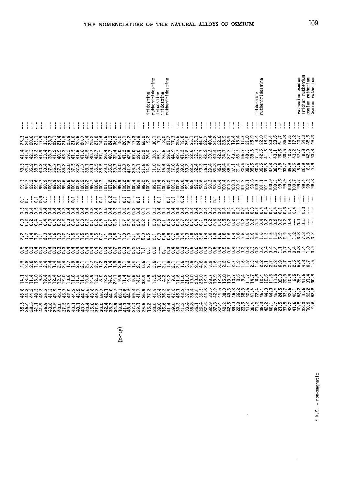|    |  |      |                                                                                                                                                                           |  |   |    | rutheniridosmine<br>iridosmine<br>rutheniridosmine<br>ridosmine<br>iridosmine<br>$\overline{a}$ |   |               |  |                |   |               |               |        |                 |       |                |   |                       |               |                | ω<br>rutheniridosmin<br>iridosmine |        |               |               |   |   |   |        |  |   | an osmium<br>ruthenium<br>ruthenian<br>iridian | osmian ruthenium<br>osmian ruthenium |               |               |   |   |                   |  |  |  |   |                                 |   |                                 |                        |   |  |
|----|--|------|---------------------------------------------------------------------------------------------------------------------------------------------------------------------------|--|---|----|-------------------------------------------------------------------------------------------------|---|---------------|--|----------------|---|---------------|---------------|--------|-----------------|-------|----------------|---|-----------------------|---------------|----------------|------------------------------------|--------|---------------|---------------|---|---|---|--------|--|---|------------------------------------------------|--------------------------------------|---------------|---------------|---|---|-------------------|--|--|--|---|---------------------------------|---|---------------------------------|------------------------|---|--|
|    |  |      |                                                                                                                                                                           |  | ÷ | Ιł |                                                                                                 | j |               |  |                |   | ÷             | ÷             | ÷<br>÷ |                 | $\pm$ | t              | ÷ | ŧ                     | Ť.            | ÷              | ÷                                  | ÷<br>ł | ÷             | ţ             | ÷ | ÷ | ļ | ÷<br>÷ |  |   | ÷                                              | ł                                    | $\pm$         | ÷             | ÷ | ÷ | ÷<br>Ţ            |  |  |  |   |                                 |   |                                 |                        | H |  |
|    |  |      | おれぬおけれるな女気のあいれるほどはななほのことはある あてぁれけのほあをあねめぬぬぬはほけけれる。女ほのの句がでけぬはあぬのこのかいはなのではありのことはあるのはないのではない。ここのことはあること あるある これから きょうじょうほうじゅうじゅう                                             |  |   |    |                                                                                                 |   |               |  |                |   |               |               |        |                 |       |                |   |                       |               |                |                                    |        |               |               |   |   |   |        |  |   |                                                |                                      |               |               |   |   |                   |  |  |  |   |                                 |   |                                 |                        |   |  |
|    |  |      | れれな羽印記記れれた別れれれなねね可認ねだはれな可認だが、辺話方辺体なれた記念記記記記記記においての面も辺りがれれたのの心にもあるとはないことであることであることですような思いです。これはこころはある こうこうこうほうほうほうほうほうほうほう                                                 |  |   |    |                                                                                                 |   |               |  |                |   |               |               |        |                 |       |                |   |                       |               |                |                                    |        |               |               |   |   |   |        |  |   |                                                |                                      |               |               |   |   |                   |  |  |  |   |                                 |   |                                 |                        |   |  |
|    |  |      | おれあばればなぼであないでは話をおめあるほぼれおあれば、万で打破であるのなどはちのはするでしたなるあのあるであげなめもったらしてはある。それはあるのは、それはあるのはあるのは、それはあるのは、それはあ こんじょう こうきょうこうきゅうほう こうきょう                                             |  |   |    |                                                                                                 |   |               |  |                |   |               |               |        |                 |       |                |   |                       |               |                |                                    |        |               |               |   |   |   |        |  |   |                                                |                                      |               |               |   |   |                   |  |  |  |   |                                 |   |                                 |                        |   |  |
|    |  |      |                                                                                                                                                                           |  |   |    |                                                                                                 |   |               |  |                |   |               |               |        |                 |       |                |   |                       |               |                |                                    |        |               |               |   |   |   |        |  |   |                                                |                                      |               |               |   |   |                   |  |  |  |   |                                 |   |                                 |                        |   |  |
| 55 |  | 1333 |                                                                                                                                                                           |  | Ξ |    |                                                                                                 | ÷ | $\frac{1}{1}$ |  | $\overline{a}$ | i | $\frac{2}{5}$ | ł             |        | $\overline{55}$ | ŧ     | $\overline{a}$ | ŧ | $\mathbf{I}$          | $\frac{1}{1}$ | $\overline{a}$ | ÷                                  | 55     | $\frac{1}{1}$ | $\frac{2}{5}$ | ł |   | ļ |        |  | 등 | ţ                                              | ŧ                                    | $\frac{1}{2}$ | $\frac{1}{1}$ |   | ł | ŀ<br>$\mathbf{I}$ |  |  |  | Ť |                                 | ļ |                                 | I                      |   |  |
|    |  |      | , ססססססססטספליפי הספטססטספליה הספטססטסטסטסטסטסטסטסטסטסטסטסטסט<br>מספטמפליפיה והספטסטסטסט                                                                                 |  |   |    |                                                                                                 |   |               |  |                |   |               |               |        |                 |       |                |   |                       |               |                |                                    |        |               |               |   |   |   |        |  |   |                                                |                                      |               |               |   |   |                   |  |  |  |   |                                 |   |                                 | m<br>$\mathbf{1}$<br>చ |   |  |
|    |  |      | mnnt-tetunutnunt-nu-re                                                                                                                                                    |  |   |    |                                                                                                 |   |               |  |                |   |               | $\frac{1}{1}$ |        | 100040<br>33333 |       |                |   | $\mathbf{I}$<br>$\pm$ |               |                |                                    |        |               |               |   |   |   |        |  |   |                                                |                                      |               |               |   |   |                   |  |  |  |   | nn-sonnath-nathasan-ath-tananat |   | $\overline{ }$<br>$\frac{1}{2}$ | 3                      | ÷ |  |
|    |  |      | 2. トーー・2. トーー・エー・エー・エー・ロー・シー・エンター・ラム・コロロロー・ミミー・ミニュー・エー・ロー・ロー・エー・コント・ランク・シー・コード・エー・エー・エー・コード・シー・コード・エー こうじょう こうしゅう こうこうしょう こうじょうせい                                         |  |   |    |                                                                                                 |   |               |  |                |   |               |               |        |                 |       |                |   |                       |               |                |                                    |        |               |               |   |   |   |        |  |   |                                                |                                      |               |               |   |   |                   |  |  |  |   |                                 |   |                                 |                        |   |  |
|    |  |      |                                                                                                                                                                           |  |   |    |                                                                                                 |   |               |  |                |   |               |               |        |                 |       |                |   |                       |               |                |                                    |        |               |               |   |   |   |        |  |   |                                                |                                      |               |               |   |   |                   |  |  |  |   |                                 |   |                                 |                        |   |  |
|    |  |      |                                                                                                                                                                           |  |   |    |                                                                                                 |   |               |  |                |   |               |               |        |                 |       |                |   |                       |               |                |                                    |        |               |               |   |   |   |        |  |   |                                                |                                      |               |               |   |   |                   |  |  |  |   |                                 |   |                                 |                        |   |  |
|    |  |      | ヸヸヸヮ゙゙ぁ゙ヸゖヸヮヮゟぉ゙ゖ゙ゖ゚゚ゐ゙ゖヹヷゟヿ゚゠゚ゖ゠゙ゖ゚゠ゟゖヸヷ゚ゖゟゖゟヷヷヷヷヷヷヷヷヷヷヷヷヷヷヷ゚ヸヸヷヷヷヷゖ゙ゖ゙ゖゔゔゟヷヸヹゟ<br>゠゙ヸヸヮ゙゙゙゙ゐヸゖ゙ヸヮ゙゙ヮ゚ゟゕ゙ゖゕ゚ゕ゙ヷヷヷヷヸヷヸヷゟヷゕ゙ゕ゙ゕ゚ゖ゚ゕ゚ゖ゚ゖ゚ゖ゙ゖ゙ヷヷヷヷヷヺゕ゚ゖヷヷヸヸヷヷゟヸゟゕ゙ゕ゙゙ゖゕ゙ゖゟヸゕ |  |   |    |                                                                                                 |   |               |  |                |   |               |               |        |                 |       |                |   |                       |               |                |                                    |        |               |               |   |   |   |        |  |   |                                                |                                      |               |               |   |   |                   |  |  |  |   |                                 |   |                                 |                        |   |  |
|    |  |      | ねれはねながれねねあなせねねははおあめなれあるお母のれめておけれておねながあるなおおなかもあるのなれておれれなみでもありのおおこのおもらいはないと思えるとものではないのはないのかものであるのでもあると                                                                      |  |   |    |                                                                                                 |   |               |  |                |   |               |               |        |                 |       |                |   |                       |               |                |                                    |        |               |               |   |   |   |        |  |   |                                                |                                      |               |               |   |   |                   |  |  |  |   |                                 |   |                                 |                        |   |  |
|    |  |      | <b>張郊怨れれ派如蛇如羽如如如如如罗汉说说说说话的好想,这时我说下的说和我说说这是这时就可以也会说过我的时候的我的女人,也没有的话,我的说话,我也没有了。我也不会有着的女人,我也会会有了。我的人,我也会会</b>                                                               |  |   |    |                                                                                                 |   |               |  |                |   |               |               |        |                 |       |                |   |                       |               |                |                                    |        |               |               |   |   |   |        |  |   |                                                |                                      |               |               |   |   |                   |  |  |  |   |                                 |   |                                 |                        |   |  |
|    |  |      |                                                                                                                                                                           |  |   |    |                                                                                                 |   |               |  |                |   |               |               |        |                 |       |                |   |                       |               |                |                                    |        |               |               |   |   |   |        |  |   |                                                |                                      |               |               |   |   |                   |  |  |  |   |                                 |   |                                 |                        |   |  |

 $(x-ray)$ 

 $\ddot{\phantom{0}}$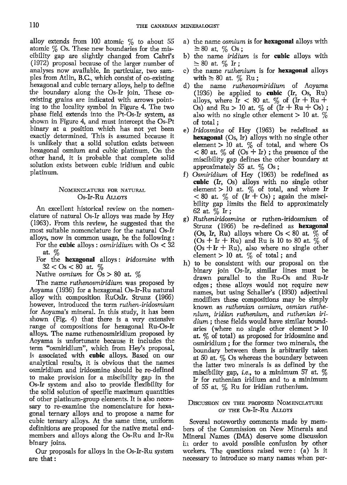alloy extends from 100 atomic  $\%$  to about 55 atomic  $\%$  Os. These new boundaries for the miscibility gap are slightly changed from Cabri's (1972) proposal because of the larger number of analyses now available. In particular, two samples from Atlin, B.C., which consist of co-existing hexagonal and cubic ternary alloys, help to define the boundary along the Os-Ir join. These coexisting grains are indicated with arrows pointing to the locality symbol in Figure 4. The two phase field extends into the Pt-Os-Ir system, as shown in Figure 4, and must intercept the Os-Pt binary at a position which has not yet been exactly determined. This is assumed because it is unlikely that a solid solution exists between hexagonal osmium and cubic platinum. On the other hand, it is probable that complete solid solution exists between cubic iridium and cubic platinum.

## NOMENCLATURE FOR NATURAL Os-Ir-Ru ALLOYS

An excellent historical review on the nomenclature of natural Os-Ir alloys was made by Hey (1963). From this review, he suggested that the most suitable nomenclature for the natural Os-h alloys, now in common usage, be the following:

- For the **cubic** alloys : *osmiridium* with  $Os < 32$ at. %
- For the hexagonal alloys: iridosmine with  $32 <$  Os  $< 80$  at  $\%$

Native osmium for  $Os > 80$  at. %

The name ruthenosmiridium was proposed by Aoyama (1936) for a hexagonal Os-Ir-Ru natural alloy with composition RuOsIr. Strunz (1966) however, introduced the term ruthen-iridosmium for Aoyama's mineral. In this study, it has been shown (Fig. 4) that there is a very extensive range of compositions for hexagonal Ru-Os-h alloys. The name ruthenosmiridium proposed by Aoyama is unfortunate because it includes the term "osmiridium", which from Hey's proposal, is associated with cubic alloys. Based on our analytical results, it is obvious that the names osmiridium and iridosmine should be re-defined to make provision for a miscibility gap in the Os-Ir system and also to provide flexibility for the solid solution of specific maximum quantities of other platinum-group elements. It is also necessary to re-examine the nomenclature for hexagonal ternary alloys and to propose a name for cubic ternary alloys. At the same time, uniform definitions are proposed for the native metal endmembers and alloys along the Os-Ru and Ir-Ru binary joins.

Our proposals for alloys in the Os-Ir-Ru system are that:

- a) the name *osmium* is for **hexagonal** alloys with  $\geq 80$  at.  $\%$  Os;
- b) the name *iridium* is for **cubic** alloys with  $\geq 80$  at.  $\%$  Ir;
- c) the name *ruthenium* is for **hexagonal** alloys with  $\geq 80$  at.  $\%$  Ru;
- d) the name *ruthenosmiridium* of Aoyama (1936) be applied to cubic  $(K, S, Ru)$ alloys, where Ir  $< 80$  at. % of (Ir + Ru + Os) and  $Ru > 10$  at.  $\%$  of  $(Ir + Ru + Os)$ ; also with no single other element  $> 10$  at.  $\%$ of total;
- e) Iridosmine of Hey (1963) be redefined as **hexagonal**  $(Os, Ir)$  alloys with no single other element  $> 10$  at.  $\%$  of total, and where Os  $< 80$  at. % of  $(S + Ir)$ ; the presence of the miscibility gap defines the other boundary at approximately 55 at.  $\%$  Os;
- t) Osmiridium of Hey (1963) be redefined as cubic (Ir, Os) alloys with no single other element > 10 at.  $\%$  of total, and where Ir  $< 80$  at.  $\%$  of (Ir + Os); again the miscibility gap limits the field to approximately 62 at % Ir;
- e) Rutheniridosmine or ruthen-iridosmium of Strunz (1966) be re-defined as hexagonal (Os, Ir, Ru) alloys where  $Os < 80$  at.  $\%$  of  $(Os + Ir + Ru)$  and Ru is 10 to 80 at.  $\%$  of  $(Os + Ir + Ru)$ , also where no single other element  $> 10$  at.  $\%$  of total; and
- h) to be consistent with our proposal on the binary join Os-Ir, similar lines must be drawn parallel to the Ru-Os and Ru-Ir edges; these alloys would not require new names, but using Schaller's (1930) adjectival modifiers these compositions may be simply known as ruthenian osmium, osmian ruthenium, iridian ruthenium, and ruthenian iri $dium$ ; these fields would have similar boundaries (where no single other element  $> 10$ at. % of total) as proposed for iridosmine and osmiridium; for the former two minerals, the boundary between them is arbitrarily taken at 50 at.  $\%$  Os whereas the boundary between the latter two minerals is as defined by the miscibility gap, *i.e.*, to a minimum 57 at.  $\%$ Ir for ruthenian iridium and to a minimum of 55 at. % Ru for iridian ruthenium.

## DISCUSSION ON THE PROPOSED NOMENCLATURE oF TtrE Os-Ir-Ru Ar.r.ovs

Several noteworthy comments made by members of the Commission on New Minerals and Mineral Names (IMA) descve some discussion in order to avoid possible confusion by other workers. The questions raised were: (a) Is it necessary to introduce so many names when per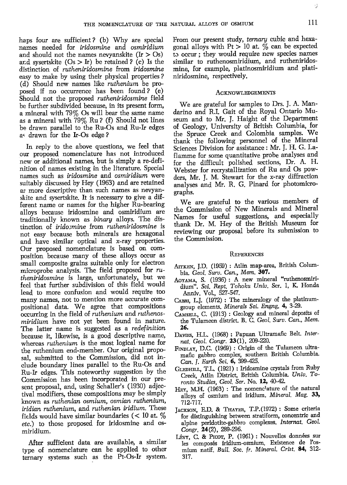haps four are sufficient? (b) Why are special names needed for *iridosmine* and *osmiridium* and should not the names nevyanskite  $(Ir > Os)$ and sysertskite  $(Os > Ir)$  be retained ? (c) Is the distinction of *rutheniridosmine* from *iridosmine* easy to make by using their physical properties ? (d) Should new names like *ruthenium* be proposed if no occurrence has been found? (e) Should not the proposed rutheniridosmine field be further subdivided because, in its present form, a mineral with 79% Os will bear the same name as a mineral with  $79\%$  Ru ? (f) Should not lines be drawn parallel to the Ru-Os and Ru-Ir edges as drawn for the Ir-Os edge?

In reply to the above questions, we feel that our proposed nomenclature has not introduced new or additional names, but is simply a re-definition of names existing in the literature. Special names such as iridosmine and osmiridium were suitably discussed by Hey (1963) and are retained as more descriptive than such names as nevyanskite and sysertskite. It is necessary to give a different name or names for the higher Ru-bearing alloys because iridosmine and osmiridium are traditionally known as binarg alloys. The distinction of irido:mine from rutheniridosmine is not easy because both minerals are hexagonal and have similar optical and x-ray properties. Our proposed nomenclattue is based on composition because many of these alloys occur as small composite grains suitable only for electron microprobe analysis. The field proposed for  $ru$ theniridosmine is large, unfortunately, but we feel that further subdivision of this field would lead to more confusion and would require too many names, not to mention more accurate compositional data. We agree that compositions occurring in the field of ruthenium and ruthenosmiridium have not yet been found in nature. The latter name is suggested as a redefinition because it, likewise, is a good descriptive name, whereas *ruthenium* is the most logical name for the ruthenium end-member. Our original proposal, submitted to the Commission, did not include boundary lines parallel to the Ru-Os and Ru-Ir edges. This noteworthy suggestion by the Commission has been incorporated in our present proposal, and, using Schaller's (1930) adjectival modifiers, these compositions may be simply known as ruthenian osmium, osmian ruthenium, iridian ruthenium, and ruthenian iridium. These fields would have similar boundaries ( $< 10$  at,  $\%$ etc.) to those proposed for iridosmine and osmiridium.

After sufficient data are available, a similar rype of nomenclature can be applied to other ternary systems such as the Pt-Os-Ir system. From our present study, ternary cubic and hexagonal alloys with  $Pt > 10$  at. % can be expected to occur ; they would require new species names similar to ruthenosmiridium, and rutheniridosmine, for example, platinosmiridium and platiniridosming respectively.

#### **ACKNOWLEDGEMENTS**

We are grateful for samples to Drs. J. A. Mandarino and R.I. Gait of the Royal Ontario Museum and to Mr. J. Haight of the Departrnent of Geology, University of British Columbia, for the Spruce Creek and Colombia samples. We thank- the following personnel of the Mineral Sciences Division for assistance : Mr. I. H. G. Laflamme for some quantitative probe analyses and for the difficult polished sections, Dr. A. H. Webster for recrystallization of Ru and Os powders, Mr. J. M. Stewart for the x-ray diffraction analyses and Mr. R. G. Pinard for photomicrographs.

'We are grateful to the various mernbers of the Commission of New Minerals and Mineral Names for useful suggestions, and especially thank Dr. M. Hey of the British Museum fior reviewing our proposal before its submission to the Commission.

#### **REFERENCES**

- AITKEN, J.D. (1959) : Atlin map-area, British Columbia. Geol. Surv. Can., Mem. 307.
- Aoram4 S. (1936) : A new mineral "rutlenosmiridium". Sci. Rept. Tohoku Univ. Ser. 1, K. Honda Anniv. Vol., 521-547.
- CABRI, L.J. (1972) : The mineralogy of the platinumgroup elements. Minerals Sci. Engng. 4, 3-29.
- CAMSELL, C. (1913) : Geology and mineral deposits of the Tulameen district. B. C. Geol. Surv. Can., Mem. 26.
- DAVIES, H.L. (1968) : Papuan Ultramafic Belt. Internat. Geol. Congr. 23(1), 209-220.
- FINDLAY, D.C. (1969) : Origin of the Tulameen ultramafic gabbro complex, southern British Columbia. Can. J. Earth Sci. 6, 399-425.
- GLEDHILL, T.L. (1921) : Iridosmine crystals from Ruby Creek, Atlin District, British Columbia. Univ. Toronto Studies, Geol. Ser. No. 12, 40-42.
- HEY, M.H. (1963) : The nomenclature of the natural alloys of osmium and iridium. Mineral. Mag. 33, 712-717.
- JACKSON, E.D. & THAYER, T.P.(1972) : Some criteria for distinguishing between stratiform, concentric and alpine peridotite-gabbro complexes. Internat. Geol. Congr. 24(2), 289-296.
- LÉVY, C. & PICOT, P. (1961) : Nouvelles données sur les composés iridium-osmium. Existence de l'osmium natif. Bull. Soc. fr. Mineral. Crist. 84, 312-317.